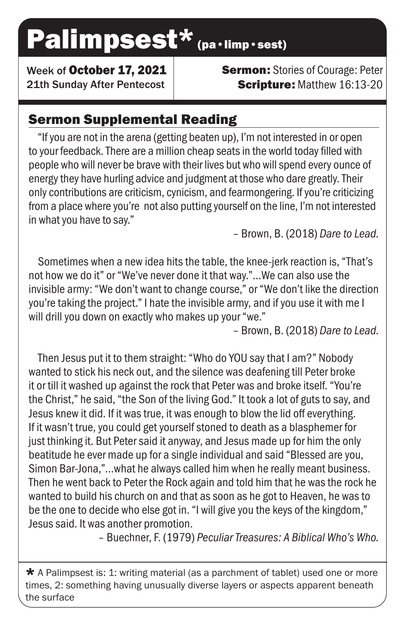Palimpsest\* (pa·limp·sest)

Week of October 17, 2021 21th Sunday After Pentecost

**Sermon: Stories of Courage: Peter Scripture: Matthew 16:13-20** 

## Sermon Supplemental Reading

"If you are not in the arena (getting beaten up), I'm not interested in or open to your feedback. There are a million cheap seats in the world today filled with people who will never be brave with their lives but who will spend every ounce of energy they have hurling advice and judgment at those who dare greatly. Their only contributions are criticism, cynicism, and fearmongering. If you're criticizing from a place where you're not also putting yourself on the line, I'm not interested in what you have to say."

– Brown, B. (2018) *Dare to Lead.*

Sometimes when a new idea hits the table, the knee-jerk reaction is, "That's not how we do it" or "We've never done it that way."...We can also use the invisible army: "We don't want to change course," or "We don't like the direction you're taking the project." I hate the invisible army, and if you use it with me I will drill you down on exactly who makes up your "we."

– Brown, B. (2018) *Dare to Lead.*

Then Jesus put it to them straight: "Who do YOU say that I am?" Nobody wanted to stick his neck out, and the silence was deafening till Peter broke it or till it washed up against the rock that Peter was and broke itself. "You're the Christ," he said, "the Son of the living God." It took a lot of guts to say, and Jesus knew it did. If it was true, it was enough to blow the lid off everything. If it wasn't true, you could get yourself stoned to death as a blasphemer for just thinking it. But Peter said it anyway, and Jesus made up for him the only beatitude he ever made up for a single individual and said "Blessed are you, Simon Bar-Jona,"...what he always called him when he really meant business. Then he went back to Peter the Rock again and told him that he was the rock he wanted to build his church on and that as soon as he got to Heaven, he was to be the one to decide who else got in. "I will give you the keys of the kingdom," Jesus said. It was another promotion.

– Buechner, F. (1979) *Peculiar Treasures: A Biblical Who's Who.*

 $\star$  A Palimpsest is: 1: writing material (as a parchment of tablet) used one or more times, 2: something having unusually diverse layers or aspects apparent beneath the surface